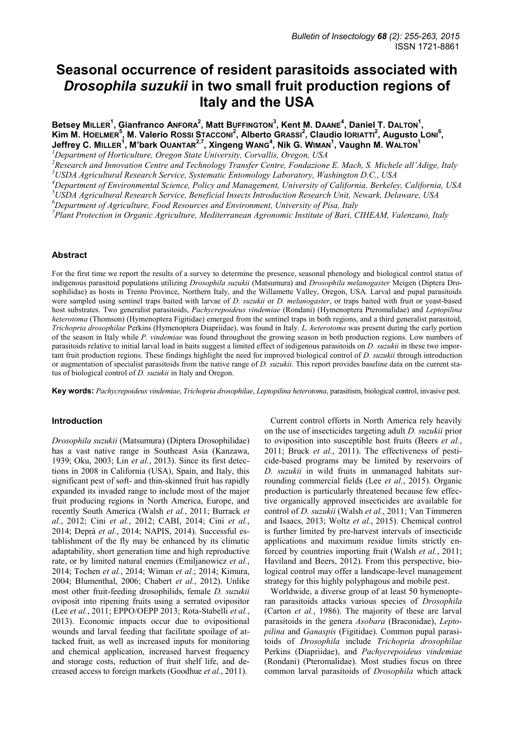# **Seasonal occurrence of resident parasitoids associated with**  *Drosophila suzukii* **in two small fruit production regions of Italy and the USA**

**Betsey MILLER<sup>1</sup> , Gianfranco ANFORA<sup>2</sup> , Matt BUFFINGTON<sup>3</sup> , Kent M. DAANE<sup>4</sup> , Daniel T. DALTON<sup>1</sup> ,**  Kim M. HOELMER<sup>5</sup>, M. Valerio ROSSI STACCONI<sup>2</sup>, Alberto GRASSI<sup>2</sup>, Claudio IORIATTI<sup>2</sup>, Augusto LONI<sup>6</sup>, **Jeffrey C. MILLER<sup>1</sup> , M'bark OUANTAR2,7, Xingeng WANG<sup>4</sup> , Nik G. WIMAN<sup>1</sup> , Vaughn M. WALTON<sup>1</sup>**

*<sup>1</sup>Department of Horticulture, Oregon State University, Corvallis, Oregon, USA* 

*<sup>2</sup>Research and Innovation Centre and Technology Transfer Centre, Fondazione E. Mach, S. Michele all'Adige, Italy <sup>3</sup>USDA Agricultural Research Service, Systematic Entomology Laboratory, Washington D.C., USA* 

*<sup>4</sup>Department of Environmental Science, Policy and Management, University of California, Berkeley, California, USA* 

*<sup>5</sup>USDA Agricultural Research Service, Beneficial Insects Introduction Research Unit, Newark, Delaware, USA* 

*<sup>6</sup>Department of Agriculture, Food Resources and Environment, University of Pisa, Italy* 

*<sup>7</sup>Plant Protection in Organic Agriculture, Mediterranean Agronomic Institute of Bari, CIHEAM, Valenzano, Italy* 

### **Abstract**

For the first time we report the results of a survey to determine the presence, seasonal phenology and biological control status of indigenous parasitoid populations utilizing *Drosophila suzukii* (Matsumura) and *Drosophila melanogaster* Meigen (Diptera Drosophilidae) as hosts in Trento Province, Northern Italy, and the Willamette Valley, Oregon, USA. Larval and pupal parasitoids were sampled using sentinel traps baited with larvae of *D. suzukii* or *D. melanogaster*, or traps baited with fruit or yeast-based host substrates. Two generalist parasitoids, *Pachycrepoideus vindemiae* (Rondani) (Hymenoptera Pteromalidae) and *Leptopilina heterotoma* (Thomson) (Hymenoptera Figitidae) emerged from the sentinel traps in both regions, and a third generalist parasitoid, *Trichopria drosophilae* Perkins (Hymenoptera Diapriidae), was found in Italy. *L. heterotoma* was present during the early portion of the season in Italy while *P. vindemiae* was found throughout the growing season in both production regions. Low numbers of parasitoids relative to initial larval load in baits suggest a limited effect of indigenous parasitoids on *D. suzukii* in these two important fruit production regions. These findings highlight the need for improved biological control of *D. suzukii* through introduction or augmentation of specialist parasitoids from the native range of *D. suzukii*. This report provides baseline data on the current status of biological control of *D. suzukii* in Italy and Oregon.

**Key words:** *Pachycrepoideus vindemiae*, *Trichopria drosophilae*, *Leptopilina heterotoma*, parasitism, biological control, invasive pest.

#### **Introduction**

*Drosophila suzukii* (Matsumura) (Diptera Drosophilidae) has a vast native range in Southeast Asia (Kanzawa, 1939; Oku, 2003; Lin *et al.*, 2013). Since its first detections in 2008 in California (USA), Spain, and Italy, this significant pest of soft- and thin-skinned fruit has rapidly expanded its invaded range to include most of the major fruit producing regions in North America, Europe, and recently South America (Walsh *et al.*, 2011; Burrack *et al.*, 2012; Cini *et al.*, 2012; CABI, 2014; Cini *et al.*, 2014; Deprá *et al.*, 2014; NAPIS, 2014). Successful establishment of the fly may be enhanced by its climatic adaptability, short generation time and high reproductive rate, or by limited natural enemies (Emiljanowicz *et al.*, 2014; Tochen *et al.*, 2014; Wiman *et al.*; 2014; Kimura, 2004; Blumenthal, 2006; Chabert *et al.*, 2012). Unlike most other fruit-feeding drosophilids, female *D. suzukii* oviposit into ripening fruits using a serrated ovipositor (Lee *et al.*, 2011; EPPO/OEPP 2013; Rota-Stabelli *et al.*, 2013). Economic impacts occur due to ovipositional wounds and larval feeding that facilitate spoilage of attacked fruit, as well as increased inputs for monitoring and chemical application, increased harvest frequency and storage costs, reduction of fruit shelf life, and decreased access to foreign markets (Goodhue *et al.*, 2011).

Current control efforts in North America rely heavily on the use of insecticides targeting adult *D. suzukii* prior to oviposition into susceptible host fruits (Beers *et al.*, 2011; Bruck *et al.*, 2011). The effectiveness of pesticide-based programs may be limited by reservoirs of *D. suzukii* in wild fruits in unmanaged habitats surrounding commercial fields (Lee *et al.*, 2015). Organic production is particularly threatened because few effective organically approved insecticides are available for control of *D. suzukii* (Walsh *et al.*, 2011; Van Timmeren and Isaacs, 2013; Woltz *et al.*, 2015). Chemical control is further limited by pre-harvest intervals of insecticide applications and maximum residue limits strictly enforced by countries importing fruit (Walsh *et al.*, 2011; Haviland and Beers, 2012). From this perspective, biological control may offer a landscape-level management strategy for this highly polyphagous and mobile pest.

Worldwide, a diverse group of at least 50 hymenopteran parasitoids attacks various species of *Drosophila*  (Carton *et al.*, 1986). The majority of these are larval parasitoids in the genera *Asobara* (Braconidae), *Leptopilina* and *Ganaspis* (Figitidae). Common pupal parasitoids of *Drosophila* include *Trichopria drosophilae* Perkins (Diapriidae), and *Pachycrepoideus vindemiae* (Rondani) (Pteromalidae). Most studies focus on three common larval parasitoids of *Drosophila* which attack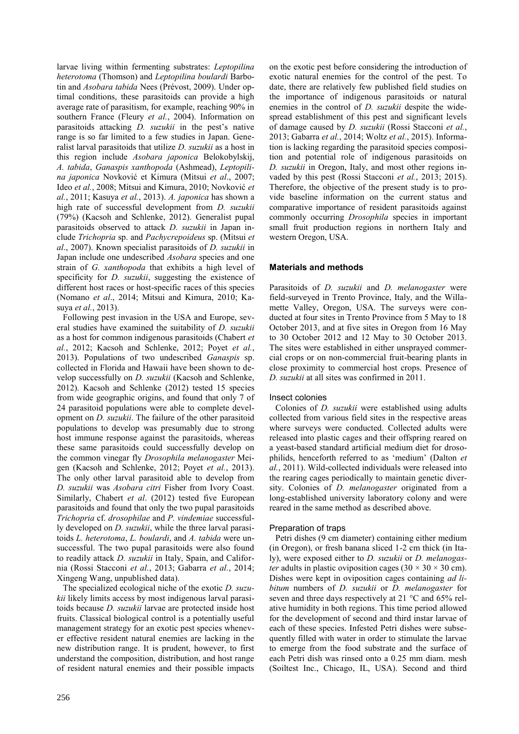larvae living within fermenting substrates: *Leptopilina heterotoma* (Thomson) and *Leptopilina boulardi* Barbotin and *Asobara tabida* Nees (Prévost, 2009). Under optimal conditions, these parasitoids can provide a high average rate of parasitism, for example, reaching 90% in southern France (Fleury *et al.*, 2004). Information on parasitoids attacking *D. suzukii* in the pest's native range is so far limited to a few studies in Japan. Generalist larval parasitoids that utilize *D. suzukii* as a host in this region include *Asobara japonica* Belokobylskij, *A. tabida*, *Ganaspis xanthopoda* (Ashmead), *Leptopilina japonica* Novković et Kimura (Mitsui *et al*., 2007; Ideo *et al.*, 2008; Mitsui and Kimura, 2010; Novković *et al.*, 2011; Kasuya *et al.*, 2013). *A. japonica* has shown a high rate of successful development from *D. suzukii* (79%) (Kacsoh and Schlenke, 2012). Generalist pupal parasitoids observed to attack *D. suzukii* in Japan include *Trichopria* sp. and *Pachycrepoideus* sp. (Mitsui *et al*., 2007). Known specialist parasitoids of *D. suzukii* in Japan include one undescribed *Asobara* species and one strain of *G. xanthopoda* that exhibits a high level of specificity for *D. suzukii*, suggesting the existence of different host races or host-specific races of this species (Nomano *et al*., 2014; Mitsui and Kimura, 2010; Kasuya *et al.*, 2013).

Following pest invasion in the USA and Europe, several studies have examined the suitability of *D. suzukii* as a host for common indigenous parasitoids (Chabert *et al.*, 2012; Kacsoh and Schlenke, 2012; Poyet *et al.*, 2013). Populations of two undescribed *Ganaspis* sp. collected in Florida and Hawaii have been shown to develop successfully on *D. suzukii* (Kacsoh and Schlenke, 2012). Kacsoh and Schlenke (2012) tested 15 species from wide geographic origins, and found that only 7 of 24 parasitoid populations were able to complete development on *D. suzukii*. The failure of the other parasitoid populations to develop was presumably due to strong host immune response against the parasitoids, whereas these same parasitoids could successfully develop on the common vinegar fly *Drosophila melanogaster* Meigen (Kacsoh and Schlenke, 2012; Poyet *et al.*, 2013). The only other larval parasitoid able to develop from *D. suzukii* was *Asobara citri* Fisher from Ivory Coast. Similarly, Chabert *et al*. (2012) tested five European parasitoids and found that only the two pupal parasitoids *Trichopria* cf. *drosophilae* and *P. vindemiae* successfully developed on *D. suzukii*, while the three larval parasitoids *L. heterotoma*, *L. boulardi*, and *A. tabida* were unsuccessful. The two pupal parasitoids were also found to readily attack *D. suzukii* in Italy, Spain, and California (Rossi Stacconi *et al.*, 2013; Gabarra *et al.*, 2014; Xingeng Wang, unpublished data).

The specialized ecological niche of the exotic *D. suzukii* likely limits access by most indigenous larval parasitoids because *D. suzukii* larvae are protected inside host fruits. Classical biological control is a potentially useful management strategy for an exotic pest species whenever effective resident natural enemies are lacking in the new distribution range. It is prudent, however, to first understand the composition, distribution, and host range of resident natural enemies and their possible impacts on the exotic pest before considering the introduction of exotic natural enemies for the control of the pest. To date, there are relatively few published field studies on the importance of indigenous parasitoids or natural enemies in the control of *D. suzukii* despite the widespread establishment of this pest and significant levels of damage caused by *D. suzukii* (Rossi Stacconi *et al.*, 2013; Gabarra *et al.*, 2014; Woltz *et al.*, 2015). Information is lacking regarding the parasitoid species composition and potential role of indigenous parasitoids on *D. suzukii* in Oregon, Italy, and most other regions invaded by this pest (Rossi Stacconi *et al.*, 2013; 2015). Therefore, the objective of the present study is to provide baseline information on the current status and comparative importance of resident parasitoids against commonly occurring *Drosophila* species in important small fruit production regions in northern Italy and western Oregon, USA.

## **Materials and methods**

Parasitoids of *D. suzukii* and *D. melanogaster* were field-surveyed in Trento Province, Italy, and the Willamette Valley, Oregon, USA. The surveys were conducted at four sites in Trento Province from 5 May to 18 October 2013, and at five sites in Oregon from 16 May to 30 October 2012 and 12 May to 30 October 2013. The sites were established in either unsprayed commercial crops or on non-commercial fruit-bearing plants in close proximity to commercial host crops. Presence of *D. suzukii* at all sites was confirmed in 2011.

## Insect colonies

Colonies of *D. suzukii* were established using adults collected from various field sites in the respective areas where surveys were conducted. Collected adults were released into plastic cages and their offspring reared on a yeast-based standard artificial medium diet for drosophilids, henceforth referred to as 'medium' (Dalton *et al.*, 2011). Wild-collected individuals were released into the rearing cages periodically to maintain genetic diversity. Colonies of *D. melanogaster* originated from a long-established university laboratory colony and were reared in the same method as described above.

## Preparation of traps

Petri dishes (9 cm diameter) containing either medium (in Oregon), or fresh banana sliced 1-2 cm thick (in Italy), were exposed either to *D. suzukii* or *D. melanogaster* adults in plastic oviposition cages ( $30 \times 30 \times 30$  cm). Dishes were kept in oviposition cages containing *ad libitum* numbers of *D. suzukii* or *D. melanogaster* for seven and three days respectively at 21 °C and 65% relative humidity in both regions. This time period allowed for the development of second and third instar larvae of each of these species. Infested Petri dishes were subsequently filled with water in order to stimulate the larvae to emerge from the food substrate and the surface of each Petri dish was rinsed onto a 0.25 mm diam. mesh (Soiltest Inc., Chicago, IL, USA). Second and third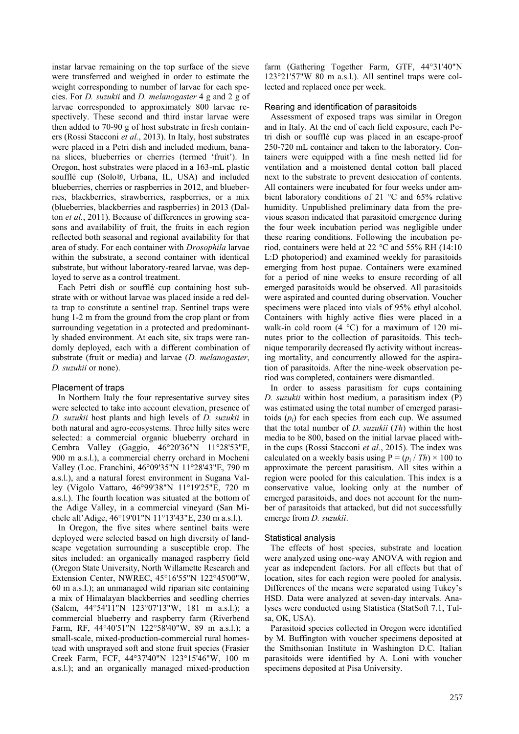instar larvae remaining on the top surface of the sieve were transferred and weighed in order to estimate the weight corresponding to number of larvae for each species. For *D. suzukii* and *D. melanogaster* 4 g and 2 g of larvae corresponded to approximately 800 larvae respectively. These second and third instar larvae were then added to 70-90 g of host substrate in fresh containers (Rossi Stacconi *et al.*, 2013). In Italy, host substrates were placed in a Petri dish and included medium, banana slices, blueberries or cherries (termed 'fruit'). In Oregon, host substrates were placed in a 163-mL plastic soufflé cup (Solo®, Urbana, IL, USA) and included blueberries, cherries or raspberries in 2012, and blueberries, blackberries, strawberries, raspberries, or a mix (blueberries, blackberries and raspberries) in 2013 (Dalton *et al.*, 2011). Because of differences in growing seasons and availability of fruit, the fruits in each region reflected both seasonal and regional availability for that area of study. For each container with *Drosophila* larvae within the substrate, a second container with identical substrate, but without laboratory-reared larvae, was deployed to serve as a control treatment.

Each Petri dish or soufflé cup containing host substrate with or without larvae was placed inside a red delta trap to constitute a sentinel trap. Sentinel traps were hung 1-2 m from the ground from the crop plant or from surrounding vegetation in a protected and predominantly shaded environment. At each site, six traps were randomly deployed, each with a different combination of substrate (fruit or media) and larvae (*D. melanogaster*, *D. suzukii* or none).

#### Placement of traps

In Northern Italy the four representative survey sites were selected to take into account elevation, presence of *D. suzukii* host plants and high levels of *D. suzukii* in both natural and agro-ecosystems. Three hilly sites were selected: a commercial organic blueberry orchard in Cembra Valley (Gaggio, 46°20'36"N 11°28'53"E, 900 m a.s.l.), a commercial cherry orchard in Mocheni Valley (Loc. Franchini, 46°09'35"N 11°28'43"E, 790 m a.s.l.), and a natural forest environment in Sugana Valley (Vigolo Vattaro, 46°99'38"N 11°19'25"E, 720 m a.s.l.). The fourth location was situated at the bottom of the Adige Valley, in a commercial vineyard (San Michele all'Adige, 46°19'01"N 11°13'43"E, 230 m a.s.l.).

In Oregon, the five sites where sentinel baits were deployed were selected based on high diversity of landscape vegetation surrounding a susceptible crop. The sites included: an organically managed raspberry field (Oregon State University, North Willamette Research and Extension Center, NWREC, 45°16'55"N 122°45'00"W, 60 m a.s.l.); an unmanaged wild riparian site containing a mix of Himalayan blackberries and seedling cherries (Salem, 44°54'11"N 123°07'13"W, 181 m a.s.l.); a commercial blueberry and raspberry farm (Riverbend Farm, RF, 44°40'51"N 122°58'40"W, 89 m a.s.l.); a small-scale, mixed-production-commercial rural homestead with unsprayed soft and stone fruit species (Frasier Creek Farm, FCF, 44°37'40"N 123°15'46"W, 100 m a.s.l.); and an organically managed mixed-production farm (Gathering Together Farm, GTF, 44°31'40"N 123°21'57"W 80 m a.s.l.). All sentinel traps were collected and replaced once per week.

#### Rearing and identification of parasitoids

Assessment of exposed traps was similar in Oregon and in Italy. At the end of each field exposure, each Petri dish or soufflé cup was placed in an escape-proof 250-720 mL container and taken to the laboratory. Containers were equipped with a fine mesh netted lid for ventilation and a moistened dental cotton ball placed next to the substrate to prevent desiccation of contents. All containers were incubated for four weeks under ambient laboratory conditions of 21 °C and 65% relative humidity. Unpublished preliminary data from the previous season indicated that parasitoid emergence during the four week incubation period was negligible under these rearing conditions. Following the incubation period, containers were held at 22 °C and 55% RH (14:10 L:D photoperiod) and examined weekly for parasitoids emerging from host pupae. Containers were examined for a period of nine weeks to ensure recording of all emerged parasitoids would be observed. All parasitoids were aspirated and counted during observation. Voucher specimens were placed into vials of 95% ethyl alcohol. Containers with highly active flies were placed in a walk-in cold room (4 °C) for a maximum of 120 minutes prior to the collection of parasitoids. This technique temporarily decreased fly activity without increasing mortality, and concurrently allowed for the aspiration of parasitoids. After the nine-week observation period was completed, containers were dismantled.

In order to assess parasitism for cups containing *D. suzukii* within host medium, a parasitism index (P) was estimated using the total number of emerged parasitoids  $(p_i)$  for each species from each cup. We assumed that the total number of *D. suzukii* (*Th*) within the host media to be 800, based on the initial larvae placed within the cups (Rossi Stacconi *et al.*, 2015). The index was calculated on a weekly basis using  $P = (p_i / Th) \times 100$  to approximate the percent parasitism. All sites within a region were pooled for this calculation. This index is a conservative value, looking only at the number of emerged parasitoids, and does not account for the number of parasitoids that attacked, but did not successfully emerge from *D. suzukii*.

#### Statistical analysis

The effects of host species, substrate and location were analyzed using one-way ANOVA with region and year as independent factors. For all effects but that of location, sites for each region were pooled for analysis. Differences of the means were separated using Tukey's HSD. Data were analyzed at seven-day intervals. Analyses were conducted using Statistica (StatSoft 7.1, Tulsa, OK, USA).

Parasitoid species collected in Oregon were identified by M. Buffington with voucher specimens deposited at the Smithsonian Institute in Washington D.C. Italian parasitoids were identified by A. Loni with voucher specimens deposited at Pisa University.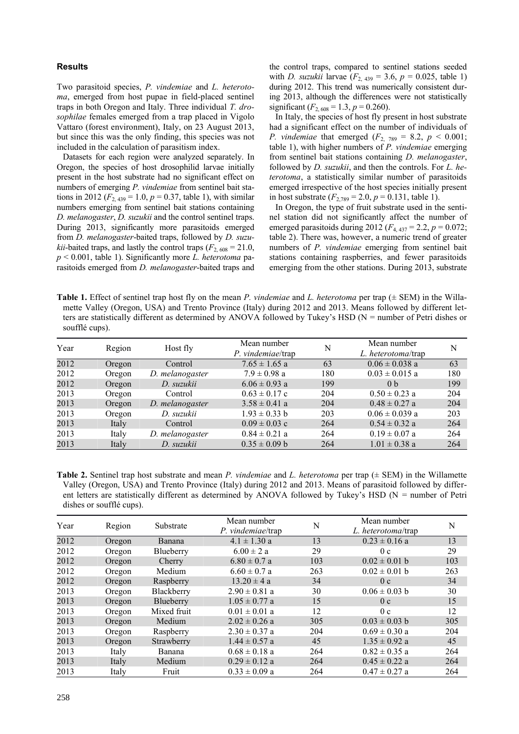## **Results**

Two parasitoid species, *P. vindemiae* and *L. heterotoma*, emerged from host pupae in field-placed sentinel traps in both Oregon and Italy. Three individual *T. drosophilae* females emerged from a trap placed in Vigolo Vattaro (forest environment), Italy, on 23 August 2013, but since this was the only finding, this species was not included in the calculation of parasitism index.

Datasets for each region were analyzed separately. In Oregon, the species of host drosophilid larvae initially present in the host substrate had no significant effect on numbers of emerging *P. vindemiae* from sentinel bait stations in 2012 ( $F_2$  <sub>439</sub> = 1.0,  $p = 0.37$ , table 1), with similar numbers emerging from sentinel bait stations containing *D. melanogaster*, *D. suzukii* and the control sentinel traps. During 2013, significantly more parasitoids emerged from *D. melanogaster*-baited traps, followed by *D. suzukii*-baited traps, and lastly the control traps ( $F_{2,608} = 21.0$ , *p* < 0.001, table 1). Significantly more *L. heterotoma* parasitoids emerged from *D. melanogaster*-baited traps and the control traps, compared to sentinel stations seeded with *D. suzukii* larvae ( $F_{2, 439} = 3.6$ ,  $p = 0.025$ , table 1) during 2012. This trend was numerically consistent during 2013, although the differences were not statistically significant  $(F_{2,608} = 1.3, p = 0.260)$ .

In Italy, the species of host fly present in host substrate had a significant effect on the number of individuals of *P. vindemiae* that emerged  $(F_{2, 789} = 8.2, p < 0.001;$ table 1), with higher numbers of *P. vindemiae* emerging from sentinel bait stations containing *D. melanogaster*, followed by *D. suzukii*, and then the controls. For *L. heterotoma*, a statistically similar number of parasitoids emerged irrespective of the host species initially present in host substrate  $(F_{2,789} = 2.0, p = 0.131,$  table 1).

In Oregon, the type of fruit substrate used in the sentinel station did not significantly affect the number of emerged parasitoids during 2012 ( $F_{4,437} = 2.2$ ,  $p = 0.072$ ; table 2). There was, however, a numeric trend of greater numbers of *P. vindemiae* emerging from sentinel bait stations containing raspberries, and fewer parasitoids emerging from the other stations. During 2013, substrate

**Table 1.** Effect of sentinel trap host fly on the mean *P. vindemiae* and *L. heterotoma* per trap (± SEM) in the Willamette Valley (Oregon, USA) and Trento Province (Italy) during 2012 and 2013. Means followed by different letters are statistically different as determined by ANOVA followed by Tukey's HSD (N = number of Petri dishes or soufflé cups).

| Year | Region | Host fly        | Mean number<br>P. vindemiae/trap | N   | Mean number<br>L. heterotoma/trap | N   |
|------|--------|-----------------|----------------------------------|-----|-----------------------------------|-----|
| 2012 | Oregon | Control         | $7.65 \pm 1.65$ a                | 63  | $0.06 \pm 0.038$ a                | 63  |
| 2012 | Oregon | D. melanogaster | $7.9 \pm 0.98$ a                 | 180 | $0.03 \pm 0.015$ a                | 180 |
| 2012 | Oregon | D. suzukii      | $6.06 \pm 0.93$ a                | 199 | 0 <sub>b</sub>                    | 199 |
| 2013 | Oregon | Control         | $0.63 \pm 0.17$ c                | 204 | $0.50 \pm 0.23$ a                 | 204 |
| 2013 | Oregon | D. melanogaster | $3.58 \pm 0.41$ a                | 204 | $0.48 \pm 0.27$ a                 | 204 |
| 2013 | Oregon | D. suzukii      | $1.93 \pm 0.33$ b                | 203 | $0.06 \pm 0.039$ a                | 203 |
| 2013 | Italy  | Control         | $0.09 \pm 0.03$ c                | 264 | $0.54 \pm 0.32$ a                 | 264 |
| 2013 | Italy  | D. melanogaster | $0.84 \pm 0.21$ a                | 264 | $0.19 \pm 0.07$ a                 | 264 |
| 2013 | Italy  | D. suzukii      | $0.35 \pm 0.09$ b                | 264 | $1.01 \pm 0.38$ a                 | 264 |

**Table 2.** Sentinel trap host substrate and mean *P. vindemiae* and *L. heterotoma* per trap (± SEM) in the Willamette Valley (Oregon, USA) and Trento Province (Italy) during 2012 and 2013. Means of parasitoid followed by different letters are statistically different as determined by ANOVA followed by Tukey's HSD ( $N =$  number of Petri dishes or soufflé cups).

| Year | Region | Substrate     | Mean number       | N   | Mean number        | N   |
|------|--------|---------------|-------------------|-----|--------------------|-----|
|      |        |               | P. vindemiae/trap |     | L. heterotoma/trap |     |
| 2012 | Oregon | <b>Banana</b> | $4.1 \pm 1.30$ a  | 13  | $0.23 \pm 0.16$ a  | 13  |
| 2012 | Oregon | Blueberry     | $6.00 \pm 2 a$    | 29  | 0c                 | 29  |
| 2012 | Oregon | Cherry        | $6.80 \pm 0.7$ a  | 103 | $0.02 \pm 0.01$ b  | 103 |
| 2012 | Oregon | Medium        | $6.60 \pm 0.7$ a  | 263 | $0.02 \pm 0.01$ b  | 263 |
| 2012 | Oregon | Raspberry     | $13.20 \pm 4 a$   | 34  | 0c                 | 34  |
| 2013 | Oregon | Blackberry    | $2.90 \pm 0.81$ a | 30  | $0.06 \pm 0.03$ b  | 30  |
| 2013 | Oregon | Blueberry     | $1.05 \pm 0.77$ a | 15  | 0 <sub>c</sub>     | 15  |
| 2013 | Oregon | Mixed fruit   | $0.01 \pm 0.01$ a | 12  | 0c                 | 12  |
| 2013 | Oregon | Medium        | $2.02 \pm 0.26$ a | 305 | $0.03 \pm 0.03$ b  | 305 |
| 2013 | Oregon | Raspberry     | $2.30 \pm 0.37$ a | 204 | $0.69 \pm 0.30$ a  | 204 |
| 2013 | Oregon | Strawberry    | $1.44 \pm 0.57$ a | 45  | $1.35 \pm 0.92$ a  | 45  |
| 2013 | Italy  | Banana        | $0.68 \pm 0.18$ a | 264 | $0.82 \pm 0.35$ a  | 264 |
| 2013 | Italy  | Medium        | $0.29 \pm 0.12$ a | 264 | $0.45 \pm 0.22$ a  | 264 |
| 2013 | Italy  | Fruit         | $0.33 \pm 0.09$ a | 264 | $0.47 \pm 0.27$ a  | 264 |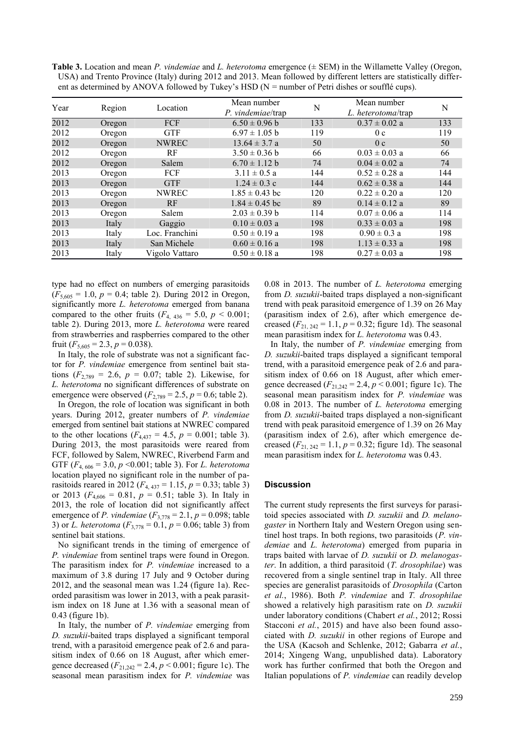**Table 3.** Location and mean *P. vindemiae* and *L. heterotoma* emergence (± SEM) in the Willamette Valley (Oregon, USA) and Trento Province (Italy) during 2012 and 2013. Mean followed by different letters are statistically different as determined by ANOVA followed by Tukey's HSD (N = number of Petri dishes or soufflé cups).

| Year | Region | Location       | Mean number<br>P. vindemiae/trap | N   | Mean number<br>L. heterotoma/trap | N   |
|------|--------|----------------|----------------------------------|-----|-----------------------------------|-----|
| 2012 | Oregon | FCF            | $6.50 \pm 0.96$ b                | 133 | $0.37 \pm 0.02$ a                 | 133 |
| 2012 | Oregon | <b>GTF</b>     | $6.97 \pm 1.05$ b                | 119 | 0c                                | 119 |
| 2012 | Oregon | <b>NWREC</b>   | $13.64 \pm 3.7 a$                | 50  | 0 <sub>c</sub>                    | 50  |
| 2012 | Oregon | RF             | $3.50 \pm 0.36$ b                | 66  | $0.03 \pm 0.03$ a                 | 66  |
| 2012 | Oregon | Salem          | $6.70 \pm 1.12 b$                | 74  | $0.04 \pm 0.02$ a                 | 74  |
| 2013 | Oregon | FCF            | $3.11 \pm 0.5$ a                 | 144 | $0.52 \pm 0.28$ a                 | 144 |
| 2013 | Oregon | <b>GTF</b>     | $1.24 \pm 0.3$ c                 | 144 | $0.62 \pm 0.38$ a                 | 144 |
| 2013 | Oregon | <b>NWREC</b>   | $1.85 \pm 0.43$ bc               | 120 | $0.22 \pm 0.20$ a                 | 120 |
| 2013 | Oregon | RF             | $1.84 \pm 0.45$ bc               | 89  | $0.14 \pm 0.12$ a                 | 89  |
| 2013 | Oregon | Salem          | $2.03 \pm 0.39$ b                | 114 | $0.07 \pm 0.06$ a                 | 114 |
| 2013 | Italy  | Gaggio         | $0.10 \pm 0.03$ a                | 198 | $0.33 \pm 0.03$ a                 | 198 |
| 2013 | Italy  | Loc. Franchini | $0.50 \pm 0.19$ a                | 198 | $0.90 \pm 0.3$ a                  | 198 |
| 2013 | Italy  | San Michele    | $0.60 \pm 0.16$ a                | 198 | $1.13 \pm 0.33$ a                 | 198 |
| 2013 | Italy  | Vigolo Vattaro | $0.50 \pm 0.18$ a                | 198 | $0.27 \pm 0.03$ a                 | 198 |

type had no effect on numbers of emerging parasitoids  $(F_{5,605} = 1.0, p = 0.4;$  table 2). During 2012 in Oregon, significantly more *L. heterotoma* emerged from banana compared to the other fruits  $(F_{4, 436} = 5.0, p < 0.001)$ ; table 2). During 2013, more *L. heterotoma* were reared from strawberries and raspberries compared to the other fruit  $(F_{5,605} = 2.3, p = 0.038)$ .

In Italy, the role of substrate was not a significant factor for *P. vindemiae* emergence from sentinel bait stations  $(F_{2,789} = 2.6, p = 0.07;$  table 2). Likewise, for *L. heterotoma* no significant differences of substrate on emergence were observed  $(F_{2,789} = 2.5, p = 0.6;$  table 2).

In Oregon, the role of location was significant in both years. During 2012, greater numbers of *P. vindemiae* emerged from sentinel bait stations at NWREC compared to the other locations ( $F_{4,437} = 4.5$ ,  $p = 0.001$ ; table 3). During 2013, the most parasitoids were reared from FCF, followed by Salem, NWREC, Riverbend Farm and GTF (*F*4, 606 = 3.0, *p* <0.001; table 3). For *L. heterotoma* location played no significant role in the number of parasitoids reared in 2012 ( $F_{4, 437} = 1.15$ ,  $p = 0.33$ ; table 3) or 2013 ( $F_{4,606} = 0.81$ ,  $p = 0.51$ ; table 3). In Italy in 2013, the role of location did not significantly affect emergence of *P. vindemiae*  $(F_{3,778} = 2.1, p = 0.098;$  table 3) or *L. heterotoma*  $(F_{3,778} = 0.1, p = 0.06$ ; table 3) from sentinel bait stations.

No significant trends in the timing of emergence of *P. vindemiae* from sentinel traps were found in Oregon. The parasitism index for *P. vindemiae* increased to a maximum of 3.8 during 17 July and 9 October during 2012, and the seasonal mean was 1.24 (figure 1a). Recorded parasitism was lower in 2013, with a peak parasitism index on 18 June at 1.36 with a seasonal mean of 0.43 (figure 1b).

In Italy, the number of *P. vindemiae* emerging from *D. suzukii*-baited traps displayed a significant temporal trend, with a parasitoid emergence peak of 2.6 and parasitism index of 0.66 on 18 August, after which emergence decreased  $(F_{21,242} = 2.4, p < 0.001$ ; figure 1c). The seasonal mean parasitism index for *P. vindemiae* was

0.08 in 2013. The number of *L. heterotoma* emerging from *D. suzukii*-baited traps displayed a non-significant trend with peak parasitoid emergence of 1.39 on 26 May (parasitism index of 2.6), after which emergence decreased  $(F_{21, 242} = 1.1, p = 0.32$ ; figure 1d). The seasonal mean parasitism index for *L. heterotoma* was 0.43.

In Italy, the number of *P. vindemiae* emerging from *D. suzukii*-baited traps displayed a significant temporal trend, with a parasitoid emergence peak of 2.6 and parasitism index of 0.66 on 18 August, after which emergence decreased  $(F_{21,242} = 2.4, p < 0.001$ ; figure 1c). The seasonal mean parasitism index for *P. vindemiae* was 0.08 in 2013. The number of *L. heterotoma* emerging from *D. suzukii*-baited traps displayed a non-significant trend with peak parasitoid emergence of 1.39 on 26 May (parasitism index of 2.6), after which emergence decreased  $(F_{21, 242} = 1.1, p = 0.32$ ; figure 1d). The seasonal mean parasitism index for *L. heterotoma* was 0.43.

### **Discussion**

The current study represents the first surveys for parasitoid species associated with *D. suzukii* and *D. melanogaster* in Northern Italy and Western Oregon using sentinel host traps. In both regions, two parasitoids (*P. vindemiae* and *L. heterotoma*) emerged from puparia in traps baited with larvae of *D. suzukii* or *D. melanogaster*. In addition, a third parasitoid (*T. drosophilae*) was recovered from a single sentinel trap in Italy. All three species are generalist parasitoids of *Drosophila* (Carton *et al.*, 1986). Both *P. vindemiae* and *T. drosophilae* showed a relatively high parasitism rate on *D. suzukii* under laboratory conditions (Chabert *et al.*, 2012; Rossi Stacconi *et al.*, 2015) and have also been found associated with *D. suzukii* in other regions of Europe and the USA (Kacsoh and Schlenke, 2012; Gabarra *et al.*, 2014; Xingeng Wang, unpublished data). Laboratory work has further confirmed that both the Oregon and Italian populations of *P. vindemiae* can readily develop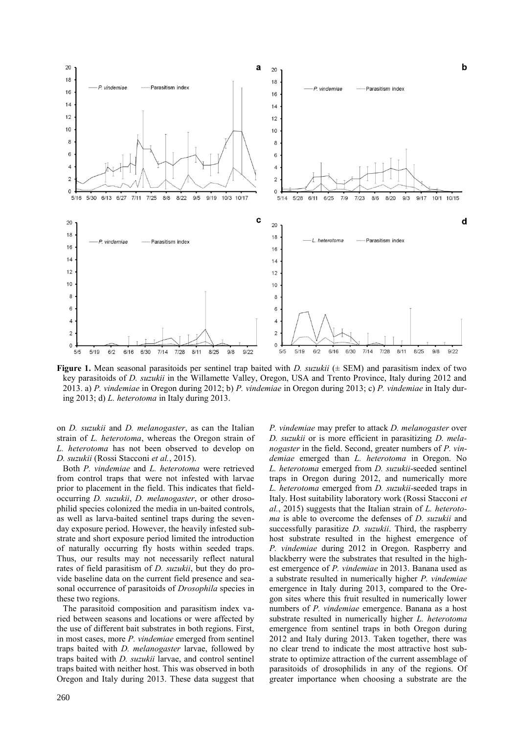

**Figure 1.** Mean seasonal parasitoids per sentinel trap baited with *D. suzukii* ( $\pm$  SEM) and parasitism index of two key parasitoids of *D. suzukii* in the Willamette Valley, Oregon, USA and Trento Province, Italy during 2012 and 2013. a) *P. vindemiae* in Oregon during 2012; b) *P. vindemiae* in Oregon during 2013; c) *P. vindemiae* in Italy during 2013; d) *L. heterotoma* in Italy during 2013.

on *D. suzukii* and *D. melanogaster*, as can the Italian strain of *L. heterotoma*, whereas the Oregon strain of *L. heterotoma* has not been observed to develop on *D. suzukii* (Rossi Stacconi *et al.*, 2015).

Both *P. vindemiae* and *L. heterotoma* were retrieved from control traps that were not infested with larvae prior to placement in the field. This indicates that fieldoccurring *D. suzukii*, *D. melanogaster*, or other drosophilid species colonized the media in un-baited controls, as well as larva-baited sentinel traps during the sevenday exposure period. However, the heavily infested substrate and short exposure period limited the introduction of naturally occurring fly hosts within seeded traps. Thus, our results may not necessarily reflect natural rates of field parasitism of *D. suzukii*, but they do provide baseline data on the current field presence and seasonal occurrence of parasitoids of *Drosophila* species in these two regions.

The parasitoid composition and parasitism index varied between seasons and locations or were affected by the use of different bait substrates in both regions. First, in most cases, more *P. vindemiae* emerged from sentinel traps baited with *D. melanogaster* larvae, followed by traps baited with *D. suzukii* larvae, and control sentinel traps baited with neither host. This was observed in both Oregon and Italy during 2013. These data suggest that

*nogaster* in the field. Second, greater numbers of *P. vindemiae* emerged than *L. heterotoma* in Oregon. No *L. heterotoma* emerged from *D. suzukii*-seeded sentinel traps in Oregon during 2012, and numerically more *L. heterotoma* emerged from *D. suzukii*-seeded traps in Italy. Host suitability laboratory work (Rossi Stacconi *et al.*, 2015) suggests that the Italian strain of *L. heterotoma* is able to overcome the defenses of *D. suzukii* and successfully parasitize *D. suzukii*. Third, the raspberry host substrate resulted in the highest emergence of *P. vindemiae* during 2012 in Oregon. Raspberry and blackberry were the substrates that resulted in the highest emergence of *P. vindemiae* in 2013. Banana used as a substrate resulted in numerically higher *P. vindemiae* emergence in Italy during 2013, compared to the Oregon sites where this fruit resulted in numerically lower numbers of *P. vindemiae* emergence. Banana as a host substrate resulted in numerically higher *L. heterotoma* emergence from sentinel traps in both Oregon during 2012 and Italy during 2013. Taken together, there was no clear trend to indicate the most attractive host substrate to optimize attraction of the current assemblage of parasitoids of drosophilids in any of the regions. Of greater importance when choosing a substrate are the

*P. vindemiae* may prefer to attack *D. melanogaster* over *D. suzukii* or is more efficient in parasitizing *D. mela-*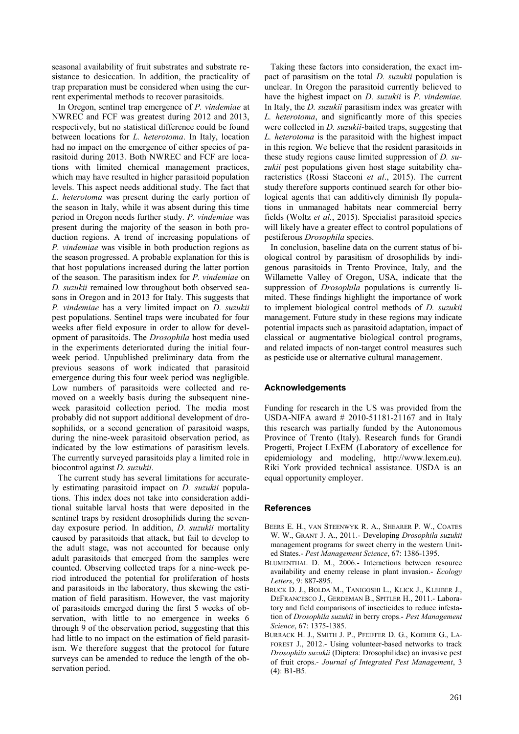seasonal availability of fruit substrates and substrate resistance to desiccation. In addition, the practicality of trap preparation must be considered when using the current experimental methods to recover parasitoids.

In Oregon, sentinel trap emergence of *P. vindemiae* at NWREC and FCF was greatest during 2012 and 2013, respectively, but no statistical difference could be found between locations for *L. heterotoma*. In Italy, location had no impact on the emergence of either species of parasitoid during 2013. Both NWREC and FCF are locations with limited chemical management practices, which may have resulted in higher parasitoid population levels. This aspect needs additional study. The fact that *L. heterotoma* was present during the early portion of the season in Italy, while it was absent during this time period in Oregon needs further study. *P. vindemiae* was present during the majority of the season in both production regions. A trend of increasing populations of *P. vindemiae* was visible in both production regions as the season progressed. A probable explanation for this is that host populations increased during the latter portion of the season. The parasitism index for *P. vindemiae* on *D. suzukii* remained low throughout both observed seasons in Oregon and in 2013 for Italy. This suggests that *P. vindemiae* has a very limited impact on *D. suzukii* pest populations. Sentinel traps were incubated for four weeks after field exposure in order to allow for development of parasitoids. The *Drosophila* host media used in the experiments deteriorated during the initial fourweek period. Unpublished preliminary data from the previous seasons of work indicated that parasitoid emergence during this four week period was negligible. Low numbers of parasitoids were collected and removed on a weekly basis during the subsequent nineweek parasitoid collection period. The media most probably did not support additional development of drosophilids, or a second generation of parasitoid wasps, during the nine-week parasitoid observation period, as indicated by the low estimations of parasitism levels. The currently surveyed parasitoids play a limited role in biocontrol against *D. suzukii*.

The current study has several limitations for accurately estimating parasitoid impact on *D. suzukii* populations. This index does not take into consideration additional suitable larval hosts that were deposited in the sentinel traps by resident drosophilids during the sevenday exposure period. In addition, *D. suzukii* mortality caused by parasitoids that attack, but fail to develop to the adult stage, was not accounted for because only adult parasitoids that emerged from the samples were counted. Observing collected traps for a nine-week period introduced the potential for proliferation of hosts and parasitoids in the laboratory, thus skewing the estimation of field parasitism. However, the vast majority of parasitoids emerged during the first 5 weeks of observation, with little to no emergence in weeks 6 through 9 of the observation period, suggesting that this had little to no impact on the estimation of field parasitism. We therefore suggest that the protocol for future surveys can be amended to reduce the length of the observation period.

Taking these factors into consideration, the exact impact of parasitism on the total *D. suzukii* population is unclear. In Oregon the parasitoid currently believed to have the highest impact on *D. suzukii* is *P. vindemiae.*  In Italy, the *D. suzukii* parasitism index was greater with *L. heterotoma*, and significantly more of this species were collected in *D. suzukii*-baited traps, suggesting that *L. heterotoma* is the parasitoid with the highest impact in this region*.* We believe that the resident parasitoids in these study regions cause limited suppression of *D. suzukii* pest populations given host stage suitability characteristics (Rossi Stacconi *et al*., 2015). The current study therefore supports continued search for other biological agents that can additively diminish fly populations in unmanaged habitats near commercial berry fields (Woltz *et al.*, 2015). Specialist parasitoid species will likely have a greater effect to control populations of pestiferous *Drosophila* species.

In conclusion, baseline data on the current status of biological control by parasitism of drosophilids by indigenous parasitoids in Trento Province, Italy, and the Willamette Valley of Oregon, USA, indicate that the suppression of *Drosophila* populations is currently limited. These findings highlight the importance of work to implement biological control methods of *D. suzukii* management. Future study in these regions may indicate potential impacts such as parasitoid adaptation, impact of classical or augmentative biological control programs, and related impacts of non-target control measures such as pesticide use or alternative cultural management.

#### **Acknowledgements**

Funding for research in the US was provided from the USDA-NIFA award # 2010-51181-21167 and in Italy this research was partially funded by the Autonomous Province of Trento (Italy). Research funds for Grandi Progetti, Project LExEM (Laboratory of excellence for epidemiology and modeling, http://www.lexem.eu). Riki York provided technical assistance. USDA is an equal opportunity employer.

#### **References**

- BEERS E. H., VAN STEENWYK R. A., SHEARER P. W., COATES W. W., GRANT J. A., 2011.- Developing *Drosophila suzukii* management programs for sweet cherry in the western United States.- *Pest Management Science*, 67: 1386-1395.
- BLUMENTHAL D. M., 2006.- Interactions between resource availability and enemy release in plant invasion.- *Ecology Letters*, 9: 887-895.
- BRUCK D. J., BOLDA M., TANIGOSHI L., KLICK J., KLEIBER J., DEFRANCESCO J., GERDEMAN B., SPITLER H., 2011.- Laboratory and field comparisons of insecticides to reduce infestation of *Drosophila suzukii* in berry crops.- *Pest Management Science*, 67: 1375-1385.
- BURRACK H. J., SMITH J. P., PFEIFFER D. G., KOEHER G., LA-FOREST J., 2012.- Using volunteer-based networks to track *Drosophila suzukii* (Diptera: Drosophilidae) an invasive pest of fruit crops.- *Journal of Integrated Pest Management*, 3  $(4)$  $B1-B5$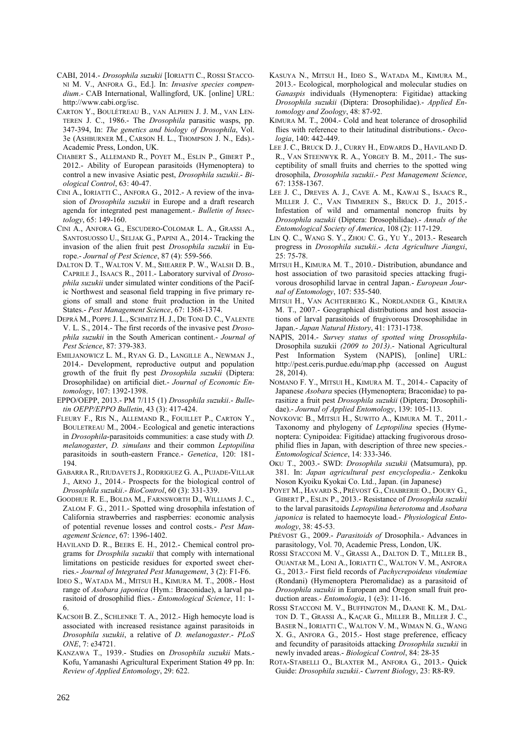- CABI, 2014.- *Drosophila suzukii* [IORIATTI C., ROSSI STACCO-NI M. V., ANFORA G., Ed.]. In: *Invasive species compendium*.- CAB International, Wallingford, UK. [online] URL: http://www.cabi.org/isc.
- CARTON Y., BOULÉTREAU B., VAN ALPHEN J. J. M., VAN LEN-TEREN J. C., 1986.- The *Drosophila* parasitic wasps, pp. 347-394, In: *The genetics and biology of Drosophila*, Vol. 3e (ASHBURNER M., CARSON H. L., THOMPSON J. N., Eds).- Academic Press, London, UK.
- CHABERT S., ALLEMAND R., POYET M., ESLIN P., GIBERT P., 2012.- Ability of European parasitoids (Hymenoptera) to control a new invasive Asiatic pest, *Drosophila suzukii*.- *Biological Control*, 63: 40-47.
- CINI A., IORIATTI C., ANFORA G., 2012.- A review of the invasion of *Drosophila suzukii* in Europe and a draft research agenda for integrated pest management.- *Bulletin of Insectology*, 65: 149-160.
- CINI A., ANFORA G., ESCUDERO-COLOMAR L. A., GRASSI A., SANTOSUOSSO U., SELJAK G., PAPINI A., 2014.- Tracking the invasion of the alien fruit pest *Drosophila suzukii* in Europe.- *Journal of Pest Science*, 87 (4): 559-566.
- DALTON D. T., WALTON V. M., SHEARER P. W., WALSH D. B., CAPRILE J., ISAACS R., 2011.- Laboratory survival of *Drosophila suzukii* under simulated winter conditions of the Pacific Northwest and seasonal field trapping in five primary regions of small and stone fruit production in the United States.- *Pest Management Science*, 67: 1368-1374.
- DEPRÁ M., POPPE J. L., SCHMITZ H. J., DE TONI D. C., VALENTE V. L. S., 2014.- The first records of the invasive pest *Drosophila suzukii* in the South American continent.- *Journal of Pest Science*, 87: 379-383.
- EMILJANOWICZ L. M., RYAN G. D., LANGILLE A., NEWMAN J., 2014.- Development, reproductive output and population growth of the fruit fly pest *Drosophila suzukii* (Diptera: Drosophilidae) on artificial diet.- *Journal of Economic Entomology*, 107: 1392-1398.
- EPPO/OEPP, 2013.- PM 7/115 (1) *Drosophila suzukii*.- *Bulletin OEPP/EPPO Bulletin*, 43 (3): 417-424.
- FLEURY F., RIS N., ALLEMAND R., FOUILLET P., CARTON Y., BOULETREAU M., 2004.- Ecological and genetic interactions in *Drosophila*-parasitoids communities: a case study with *D. melanogaster*, *D. simulans* and their common *Leptopilina*  parasitoids in south-eastern France.- *Genetica*, 120: 181- 194.
- GABARRA R., RIUDAVETS J., RODRIGUEZ G. A., PUJADE-VILLAR J., ARNO J., 2014.- Prospects for the biological control of *Drosophila suzukii*.- *BioControl*, 60 (3): 331-339.
- GOODHUE R. E., BOLDA M., FARNSWORTH D., WILLIAMS J. C., ZALOM F. G., 2011.- Spotted wing drosophila infestation of California strawberries and raspberries: economic analysis of potential revenue losses and control costs.- *Pest Management Science*, 67: 1396-1402.
- HAVILAND D. R., BEERS E. H., 2012.- Chemical control programs for *Drosphila suzukii* that comply with international limitations on pesticide residues for exported sweet cherries.- *Journal of Integrated Pest Management*, 3 (2): F1-F6.
- IDEO S., WATADA M., MITSUI H., KIMURA M. T., 2008.- Host range of *Asobara japonica* (Hym.: Braconidae), a larval parasitoid of drosophilid flies.- *Entomological Science*, 11: 1- 6.
- KACSOH B. Z., SCHLENKE T. A., 2012.- High hemocyte load is associated with increased resistance against parasitoids in *Drosophila suzukii*, a relative of *D. melanogaster*.- *PLoS ONE*, 7: e34721.
- KANZAWA T., 1939.- Studies on *Drosophila suzukii* Mats.- Kofu, Yamanashi Agricultural Experiment Station 49 pp. In: *Review of Applied Entomology*, 29: 622.
- KASUYA N., MITSUI H., IDEO S., WATADA M., KIMURA M., 2013.- Ecological, morphological and molecular studies on *Ganaspis* individuals (Hymenoptera: Figitidae) attacking *Drosophila suzukii* (Diptera: Drosophilidae).- *Applied Entomology and Zoology*, 48: 87-92.
- KIMURA M. T., 2004.- Cold and heat tolerance of drosophilid flies with reference to their latitudinal distributions.- *Oecologia*, 140: 442-449.
- LEE J. C., BRUCK D. J., CURRY H., EDWARDS D., HAVILAND D. R., VAN STEENWYK R. A., YORGEY B. M., 2011.- The susceptibility of small fruits and cherries to the spotted wing drosophila, *Drosophila suzukii*.- *Pest Management Science*, 67: 1358-1367.
- LEE J. C., DREVES A. J., CAVE A. M., KAWAI S., ISAACS R., MILLER J. C., VAN TIMMEREN S., BRUCK D. J., 2015.- Infestation of wild and ornamental noncrop fruits by *Drosophila suzukii* (Diptera: Drosophilidae).- *Annals of the Entomological Society of America*, 108 (2): 117-129.
- LIN Q. C., WANG S. Y., ZHOU C. G., YU Y., 2013.- Research progress in *Drosophila suzukii*.- *Acta Agriculture Jiangxi*,  $25 \cdot 75 - 78$
- MITSUI H., KIMURA M. T., 2010.- Distribution, abundance and host association of two parasitoid species attacking frugivorous drosophilid larvae in central Japan.- *European Journal of Entomology*, 107: 535-540.
- MITSUI H., VAN ACHTERBERG K., NORDLANDER G., KIMURA M. T., 2007.- Geographical distributions and host associations of larval parasitoids of frugivorous Drosophilidae in Japan.- *Japan Natural History*, 41: 1731-1738.
- NAPIS, 2014.- *Survey status of spotted wing Drosophila-*Drosophila suzukii *(2009 to 2013)*.- National Agricultural Pest Information System (NAPIS), [online] URL: http://pest.ceris.purdue.edu/map.php (accessed on August 28, 2014).
- NOMANO F. Y., MITSUI H., KIMURA M. T., 2014.- Capacity of Japanese *Asobara* species (Hymenoptera; Braconidae) to parasitize a fruit pest *Drosophila suzukii* (Diptera; Drosophilidae).- *Journal of Applied Entomology*, 139: 105-113.
- NOVKOVIC B., MITSUI H., SUWITO A., KIMURA M. T., 2011.- Taxonomy and phylogeny of *Leptopilina* species (Hymenoptera: Cynipoidea: Figitidae) attacking frugivorous drosophilid flies in Japan, with description of three new species.- *Entomological Science*, 14: 333-346.
- OKU T., 2003.- SWD: *Drosophila suzukii* (Matsumura), pp. 381. In: *Japan agricultural pest encyclopedia*.- Zenkoku Noson Kyoiku Kyokai Co. Ltd., Japan. (in Japanese)
- POYET M., HAVARD S., PRÉVOST G., CHABRERIE O., DOURY G., GIBERT P., ESLIN P., 2013.- Resistance of *Drosophila suzukii* to the larval parasitoids *Leptopilina heterotoma* and *Asobara japonica* is related to haemocyte load.- *Physiological Entomology*, 38: 45-53.
- PRÉVOST G., 2009.- *Parasitoids of* Drosophila.- Advances in parasitology, Vol. 70, Academic Press, London, UK.
- ROSSI STACCONI M. V., GRASSI A., DALTON D. T., MILLER B., OUANTAR M., LONI A., IORIATTI C., WALTON V. M., ANFORA G., 2013.- First field records of *Pachycrepoideus vindemiae* (Rondani) (Hymenoptera Pteromalidae) as a parasitoid of *Drosophila suzukii* in European and Oregon small fruit production areas.- *Entomologia*, 1 (e3): 11-16.
- ROSSI STACCONI M. V., BUFFINGTON M., DAANE K. M., DAL-TON D. T., GRASSI A., KAÇAR G., MILLER B., MILLER J. C., BASER N., IORIATTI C., WALTON V. M., WIMAN N. G., WANG X. G., ANFORA G., 2015.- Host stage preference, efficacy and fecundity of parasitoids attacking *Drosophila suzukii* in newly invaded areas.- *Biological Control*, 84: 28-35
- ROTA-STABELLI O., BLAXTER M., ANFORA G., 2013.- Quick Guide: *Drosophila suzukii*.- *Current Biology*, 23: R8-R9.